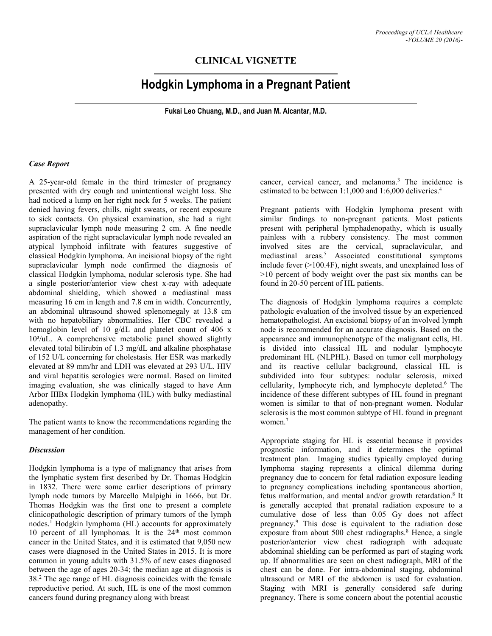# **CLINICAL VIGNETTE**

# **Hodgkin Lymphoma in a Pregnant Patient**

**Fukai Leo Chuang, M.D., and Juan M. Alcantar, M.D.**

## *Case Report*

A 25-year-old female in the third trimester of pregnancy presented with dry cough and unintentional weight loss. She had noticed a lump on her right neck for 5 weeks. The patient denied having fevers, chills, night sweats, or recent exposure to sick contacts. On physical examination, she had a right supraclavicular lymph node measuring 2 cm. A fine needle aspiration of the right supraclavicular lymph node revealed an atypical lymphoid infiltrate with features suggestive of classical Hodgkin lymphoma. An incisional biopsy of the right supraclavicular lymph node confirmed the diagnosis of classical Hodgkin lymphoma, nodular sclerosis type. She had a single posterior/anterior view chest x-ray with adequate abdominal shielding, which showed a mediastinal mass measuring 16 cm in length and 7.8 cm in width. Concurrently, an abdominal ultrasound showed splenomegaly at 13.8 cm with no hepatobiliary abnormalities. Her CBC revealed a hemoglobin level of 10 g/dL and platelet count of 406 x 10³/uL. A comprehensive metabolic panel showed slightly elevated total bilirubin of 1.3 mg/dL and alkaline phosphatase of 152 U/L concerning for cholestasis. Her ESR was markedly elevated at 89 mm/hr and LDH was elevated at 293 U/L. HIV and viral hepatitis serologies were normal. Based on limited imaging evaluation, she was clinically staged to have Ann Arbor IIIBx Hodgkin lymphoma (HL) with bulky mediastinal adenopathy.

The patient wants to know the recommendations regarding the management of her condition.

#### *Discussion*

Hodgkin lymphoma is a type of malignancy that arises from the lymphatic system first described by Dr. Thomas Hodgkin in 1832. There were some earlier descriptions of primary lymph node tumors by Marcello Malpighi in 1666, but Dr. Thomas Hodgkin was the first one to present a complete clinicopathologic description of primary tumors of the lymph nodes. <sup>1</sup> Hodgkin lymphoma (HL) accounts for approximately 10 percent of all lymphomas. It is the  $24<sup>th</sup>$  most common cancer in the United States, and it is estimated that 9,050 new cases were diagnosed in the United States in 2015. It is more common in young adults with 31.5% of new cases diagnosed between the age of ages 20-34; the median age at diagnosis is 38.<sup>2</sup> The age range of HL diagnosis coincides with the female reproductive period. At such, HL is one of the most common cancers found during pregnancy along with breast

cancer, cervical cancer, and melanoma.<sup>3</sup> The incidence is estimated to be between 1:1,000 and 1:6,000 deliveries. 4

Pregnant patients with Hodgkin lymphoma present with similar findings to non-pregnant patients. Most patients present with peripheral lymphadenopathy, which is usually painless with a rubbery consistency. The most common involved sites are the cervical, supraclavicular, and mediastinal areas. <sup>5</sup> Associated constitutional symptoms include fever (>100.4F), night sweats, and unexplained loss of >10 percent of body weight over the past six months can be found in 20-50 percent of HL patients.

The diagnosis of Hodgkin lymphoma requires a complete pathologic evaluation of the involved tissue by an experienced hematopathologist. An excisional biopsy of an involved lymph node is recommended for an accurate diagnosis. Based on the appearance and immunophenotype of the malignant cells, HL is divided into classical HL and nodular lymphocyte predominant HL (NLPHL). Based on tumor cell morphology and its reactive cellular background, classical HL is subdivided into four subtypes: nodular sclerosis, mixed cellularity, lymphocyte rich, and lymphocyte depleted.<sup>6</sup> The incidence of these different subtypes of HL found in pregnant women is similar to that of non-pregnant women. Nodular sclerosis is the most common subtype of HL found in pregnant women.<sup>7</sup>

Appropriate staging for HL is essential because it provides prognostic information, and it determines the optimal treatment plan. Imaging studies typically employed during lymphoma staging represents a clinical dilemma during pregnancy due to concern for fetal radiation exposure leading to pregnancy complications including spontaneous abortion, fetus malformation, and mental and/or growth retardation.<sup>8</sup> It is generally accepted that prenatal radiation exposure to a cumulative dose of less than 0.05 Gy does not affect pregnancy.<sup>9</sup> This dose is equivalent to the radiation dose exposure from about 500 chest radiographs. $8$  Hence, a single posterior/anterior view chest radiograph with adequate abdominal shielding can be performed as part of staging work up. If abnormalities are seen on chest radiograph, MRI of the chest can be done. For intra-abdominal staging, abdominal ultrasound or MRI of the abdomen is used for evaluation. Staging with MRI is generally considered safe during pregnancy. There is some concern about the potential acoustic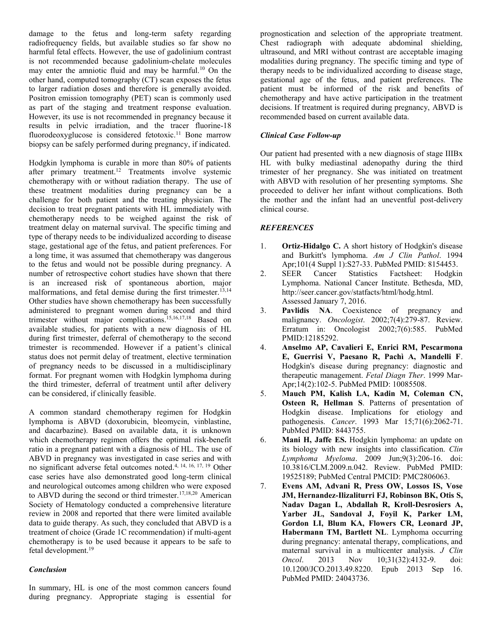damage to the fetus and long-term safety regarding radiofrequency fields, but available studies so far show no harmful fetal effects. However, the use of gadolinium contrast is not recommended because gadolinium-chelate molecules may enter the amniotic fluid and may be harmful.<sup>10</sup> On the other hand, computed tomography (CT) scan exposes the fetus to larger radiation doses and therefore is generally avoided. Positron emission tomography (PET) scan is commonly used as part of the staging and treatment response evaluation. However, its use is not recommended in pregnancy because it results in pelvic irradiation, and the tracer fluorine-18 fluorodeoxyglucose is considered fetotoxic.<sup>11</sup> Bone marrow biopsy can be safely performed during pregnancy, if indicated.

Hodgkin lymphoma is curable in more than 80% of patients after primary treatment. <sup>12</sup> Treatments involve systemic chemotherapy with or without radiation therapy. The use of these treatment modalities during pregnancy can be a challenge for both patient and the treating physician. The decision to treat pregnant patients with HL immediately with chemotherapy needs to be weighed against the risk of treatment delay on maternal survival. The specific timing and type of therapy needs to be individualized according to disease stage, gestational age of the fetus, and patient preferences. For a long time, it was assumed that chemotherapy was dangerous to the fetus and would not be possible during pregnancy. A number of retrospective cohort studies have shown that there is an increased risk of spontaneous abortion, major malformations, and fetal demise during the first trimester.<sup>13,14</sup> Other studies have shown chemotherapy has been successfully administered to pregnant women during second and third trimester without major complications. 15,16,17,18 Based on available studies, for patients with a new diagnosis of HL during first trimester, deferral of chemotherapy to the second trimester is recommended. However if a patient's clinical status does not permit delay of treatment, elective termination of pregnancy needs to be discussed in a multidisciplinary format. For pregnant women with Hodgkin lymphoma during the third trimester, deferral of treatment until after delivery can be considered, if clinically feasible.

A common standard chemotherapy regimen for Hodgkin lymphoma is ABVD (doxorubicin, bleomycin, vinblastine, and dacarbazine). Based on available data, it is unknown which chemotherapy regimen offers the optimal risk-benefit ratio in a pregnant patient with a diagnosis of HL. The use of ABVD in pregnancy was investigated in case series and with no significant adverse fetal outcomes noted.4, 14, 16, 17, <sup>19</sup> Other case series have also demonstrated good long-term clinical and neurological outcomes among children who were exposed to ABVD during the second or third trimester.<sup>17,18,20</sup> American Society of Hematology conducted a comprehensive literature review in 2008 and reported that there were limited available data to guide therapy. As such, they concluded that ABVD is a treatment of choice (Grade 1C recommendation) if multi-agent chemotherapy is to be used because it appears to be safe to fetal development.<sup>19</sup>

## *Conclusion*

In summary, HL is one of the most common cancers found during pregnancy. Appropriate staging is essential for prognostication and selection of the appropriate treatment. Chest radiograph with adequate abdominal shielding, ultrasound, and MRI without contrast are acceptable imaging modalities during pregnancy. The specific timing and type of therapy needs to be individualized according to disease stage, gestational age of the fetus, and patient preferences. The patient must be informed of the risk and benefits of chemotherapy and have active participation in the treatment decisions. If treatment is required during pregnancy, ABVD is recommended based on current available data.

# *Clinical Case Follow-up*

Our patient had presented with a new diagnosis of stage IIIBx HL with bulky mediastinal adenopathy during the third trimester of her pregnancy. She was initiated on treatment with ABVD with resolution of her presenting symptoms. She proceeded to deliver her infant without complications. Both the mother and the infant had an uneventful post-delivery clinical course.

# *REFERENCES*

- 1. **Ortiz-Hidalgo C.** A short history of Hodgkin's disease and Burkitt's lymphoma. *Am J Clin Pathol*. 1994 Apr;101(4 Suppl 1):S27-33. PubMed PMID: 8154453.
- 2. SEER Cancer Statistics Factsheet: Hodgkin Lymphoma. National Cancer Institute. Bethesda, MD, http://seer.cancer.gov/statfacts/html/hodg.html. Assessed January 7, 2016.
- 3. **Pavlidis NA**. Coexistence of pregnancy and malignancy. *Oncologist*. 2002;7(4):279-87. Review. Erratum in: Oncologist 2002;7(6):585. PubMed PMID:12185292.
- 4. **Anselmo AP, Cavalieri E, Enrici RM, Pescarmona E, Guerrisi V, Paesano R, Pachì A, Mandelli F**. Hodgkin's disease during pregnancy: diagnostic and therapeutic management. *Fetal Diagn Ther*. 1999 Mar-Apr;14(2):102-5. PubMed PMID: 10085508.
- 5. **Mauch PM, Kalish LA, Kadin M, Coleman CN, Osteen R, Hellman S**. Patterns of presentation of Hodgkin disease. Implications for etiology and pathogenesis. *Cancer*. 1993 Mar 15;71(6):2062-71. PubMed PMID: 8443755.
- 6. **Mani H, Jaffe ES.** Hodgkin lymphoma: an update on its biology with new insights into classification. *Clin Lymphoma Myeloma*. 2009 Jun;9(3):206-16. doi: 10.3816/CLM.2009.n.042. Review. PubMed PMID: 19525189; PubMed Central PMCID: PMC2806063.
- 7. **Evens AM, Advani R, Press OW, Lossos IS, Vose JM, Hernandez-Ilizaliturri FJ, Robinson BK, Otis S, Nadav Dagan L, Abdallah R, Kroll-Desrosiers A, Yarber JL, Sandoval J, Foyil K, Parker LM, Gordon LI, Blum KA, Flowers CR, Leonard JP, Habermann TM, Bartlett NL**. Lymphoma occurring during pregnancy: antenatal therapy, complications, and maternal survival in a multicenter analysis. *J Clin Oncol*. 2013 Nov 10;31(32):4132-9. doi: 10.1200/JCO.2013.49.8220. Epub 2013 Sep 16. PubMed PMID: 24043736.